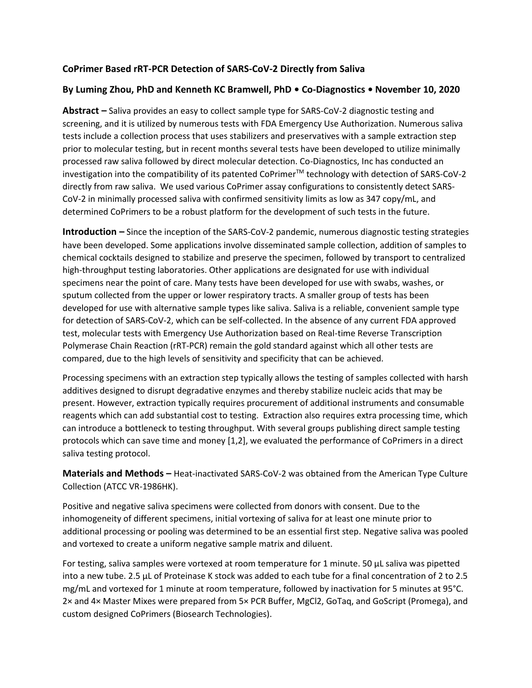## **CoPrimer Based rRT-PCR Detection of SARS-CoV-2 Directly from Saliva**

#### **By Luming Zhou, PhD and Kenneth KC Bramwell, PhD • Co-Diagnostics • November 10, 2020**

**Abstract –** Saliva provides an easy to collect sample type for SARS-CoV-2 diagnostic testing and screening, and it is utilized by numerous tests with FDA Emergency Use Authorization. Numerous saliva tests include a collection process that uses stabilizers and preservatives with a sample extraction step prior to molecular testing, but in recent months several tests have been developed to utilize minimally processed raw saliva followed by direct molecular detection. Co-Diagnostics, Inc has conducted an investigation into the compatibility of its patented CoPrimer™ technology with detection of SARS-CoV-2 directly from raw saliva. We used various CoPrimer assay configurations to consistently detect SARS-CoV-2 in minimally processed saliva with confirmed sensitivity limits as low as 347 copy/mL, and determined CoPrimers to be a robust platform for the development of such tests in the future.

**Introduction –** Since the inception of the SARS-CoV-2 pandemic, numerous diagnostic testing strategies have been developed. Some applications involve disseminated sample collection, addition of samples to chemical cocktails designed to stabilize and preserve the specimen, followed by transport to centralized high-throughput testing laboratories. Other applications are designated for use with individual specimens near the point of care. Many tests have been developed for use with swabs, washes, or sputum collected from the upper or lower respiratory tracts. A smaller group of tests has been developed for use with alternative sample types like saliva. Saliva is a reliable, convenient sample type for detection of SARS-CoV-2, which can be self-collected. In the absence of any current FDA approved test, molecular tests with Emergency Use Authorization based on Real-time Reverse Transcription Polymerase Chain Reaction (rRT-PCR) remain the gold standard against which all other tests are compared, due to the high levels of sensitivity and specificity that can be achieved.

Processing specimens with an extraction step typically allows the testing of samples collected with harsh additives designed to disrupt degradative enzymes and thereby stabilize nucleic acids that may be present. However, extraction typically requires procurement of additional instruments and consumable reagents which can add substantial cost to testing. Extraction also requires extra processing time, which can introduce a bottleneck to testing throughput. With several groups publishing direct sample testing protocols which can save time and money [\[1](#page-4-0)[,2\]](#page-4-1), we evaluated the performance of CoPrimers in a direct saliva testing protocol.

**Materials and Methods –** Heat-inactivated SARS-CoV-2 was obtained from the American Type Culture Collection (ATCC VR-1986HK).

Positive and negative saliva specimens were collected from donors with consent. Due to the inhomogeneity of different specimens, initial vortexing of saliva for at least one minute prior to additional processing or pooling was determined to be an essential first step. Negative saliva was pooled and vortexed to create a uniform negative sample matrix and diluent.

For testing, saliva samples were vortexed at room temperature for 1 minute. 50 µL saliva was pipetted into a new tube. 2.5 µL of Proteinase K stock was added to each tube for a final concentration of 2 to 2.5 mg/mL and vortexed for 1 minute at room temperature, followed by inactivation for 5 minutes at 95°C. 2× and 4× Master Mixes were prepared from 5× PCR Buffer, MgCl2, GoTaq, and GoScript (Promega), and custom designed CoPrimers (Biosearch Technologies).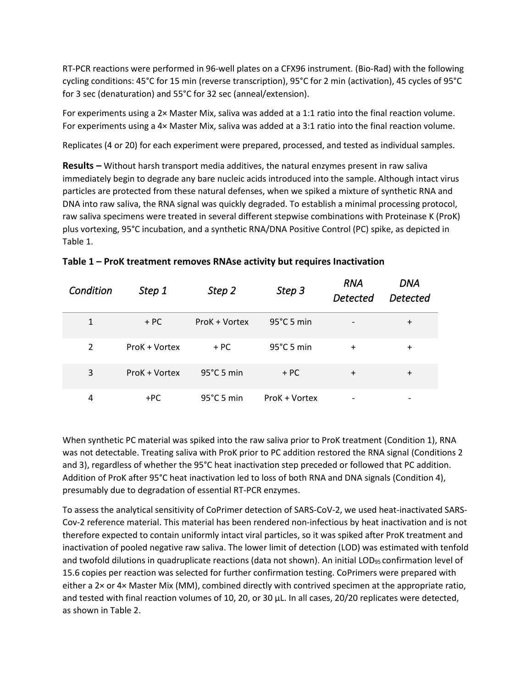RT-PCR reactions were performed in 96-well plates on a CFX96 instrument. (Bio-Rad) with the following cycling conditions: 45°C for 15 min (reverse transcription), 95°C for 2 min (activation), 45 cycles of 95°C for 3 sec (denaturation) and 55°C for 32 sec (anneal/extension).

For experiments using a 2× Master Mix, saliva was added at a 1:1 ratio into the final reaction volume. For experiments using a 4× Master Mix, saliva was added at a 3:1 ratio into the final reaction volume.

Replicates (4 or 20) for each experiment were prepared, processed, and tested as individual samples.

**Results –** Without harsh transport media additives, the natural enzymes present in raw saliva immediately begin to degrade any bare nucleic acids introduced into the sample. Although intact virus particles are protected from these natural defenses, when we spiked a mixture of synthetic RNA and DNA into raw saliva, the RNA signal was quickly degraded. To establish a minimal processing protocol, raw saliva specimens were treated in several different stepwise combinations with Proteinase K (ProK) plus vortexing, 95°C incubation, and a synthetic RNA/DNA Positive Control (PC) spike, as depicted in Table 1.

| Condition    | Step 1        | Step 2               | Step 3               | <b>RNA</b><br>Detected | <b>DNA</b><br><b>Detected</b> |
|--------------|---------------|----------------------|----------------------|------------------------|-------------------------------|
| $\mathbf{1}$ | $+ PC$        | ProK + Vortex        | $95^{\circ}$ C 5 min |                        | $\pm$                         |
| 2            | ProK + Vortex | $+ PC$               | $95^{\circ}$ C 5 min | $\pm$                  | $\ddot{}$                     |
| 3            | ProK + Vortex | $95^{\circ}$ C 5 min | $+ PC$               | $\ddot{}$              | $\ddot{}$                     |
| 4            | +PC           | $95^{\circ}$ C 5 min | ProK + Vortex        |                        |                               |

When synthetic PC material was spiked into the raw saliva prior to ProK treatment (Condition 1), RNA was not detectable. Treating saliva with ProK prior to PC addition restored the RNA signal (Conditions 2 and 3), regardless of whether the 95°C heat inactivation step preceded or followed that PC addition. Addition of ProK after 95°C heat inactivation led to loss of both RNA and DNA signals (Condition 4), presumably due to degradation of essential RT-PCR enzymes.

To assess the analytical sensitivity of CoPrimer detection of SARS-CoV-2, we used heat-inactivated SARS-Cov-2 reference material. This material has been rendered non-infectious by heat inactivation and is not therefore expected to contain uniformly intact viral particles, so it was spiked after ProK treatment and inactivation of pooled negative raw saliva. The lower limit of detection (LOD) was estimated with tenfold and twofold dilutions in quadruplicate reactions (data not shown). An initial LOD<sub>95</sub> confirmation level of 15.6 copies per reaction was selected for further confirmation testing. CoPrimers were prepared with either a 2× or 4× Master Mix (MM), combined directly with contrived specimen at the appropriate ratio, and tested with final reaction volumes of 10, 20, or 30 µL. In all cases, 20/20 replicates were detected, as shown in Table 2.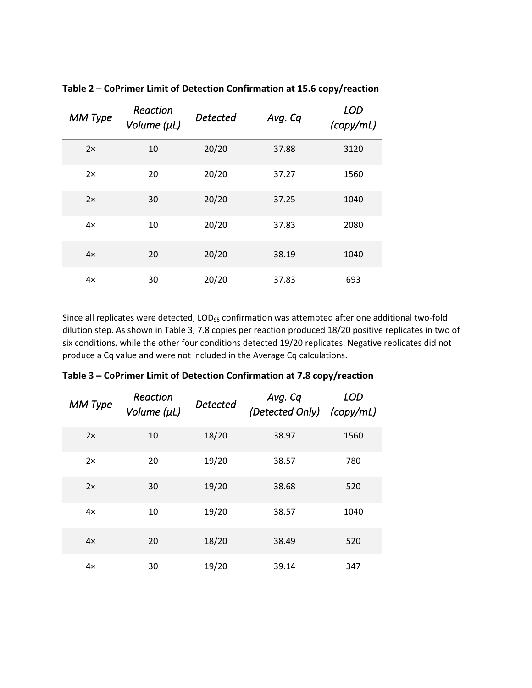| <b>MM</b> Type | Reaction<br>Volume (µL) | <b>Detected</b> | Avg. Cq | <b>LOD</b><br>(copy/mL) |
|----------------|-------------------------|-----------------|---------|-------------------------|
| 2x             | 10                      | 20/20           | 37.88   | 3120                    |
| 2x             | 20                      | 20/20           | 37.27   | 1560                    |
| 2x             | 30                      | 20/20           | 37.25   | 1040                    |
| $4\times$      | 10                      | 20/20           | 37.83   | 2080                    |
| 4x             | 20                      | 20/20           | 38.19   | 1040                    |
| $4\times$      | 30                      | 20/20           | 37.83   | 693                     |

**Table 2 – CoPrimer Limit of Detection Confirmation at 15.6 copy/reaction**

Since all replicates were detected, LOD<sub>95</sub> confirmation was attempted after one additional two-fold dilution step. As shown in Table 3, 7.8 copies per reaction produced 18/20 positive replicates in two of six conditions, while the other four conditions detected 19/20 replicates. Negative replicates did not produce a Cq value and were not included in the Average Cq calculations.

| Table 3 – CoPrimer Limit of Detection Confirmation at 7.8 copy/reaction |  |  |  |  |
|-------------------------------------------------------------------------|--|--|--|--|
|-------------------------------------------------------------------------|--|--|--|--|

| <b>MM Type</b> | Reaction<br>Volume (µL) | <b>Detected</b> | Avg. Cq<br>(Detected Only) | LOD<br>(copy/mL) |
|----------------|-------------------------|-----------------|----------------------------|------------------|
| 2x             | 10                      | 18/20           | 38.97                      | 1560             |
| 2x             | 20                      | 19/20           | 38.57                      | 780              |
| 2x             | 30                      | 19/20           | 38.68                      | 520              |
| $4\times$      | 10                      | 19/20           | 38.57                      | 1040             |
| $4\times$      | 20                      | 18/20           | 38.49                      | 520              |
| $4\times$      | 30                      | 19/20           | 39.14                      | 347              |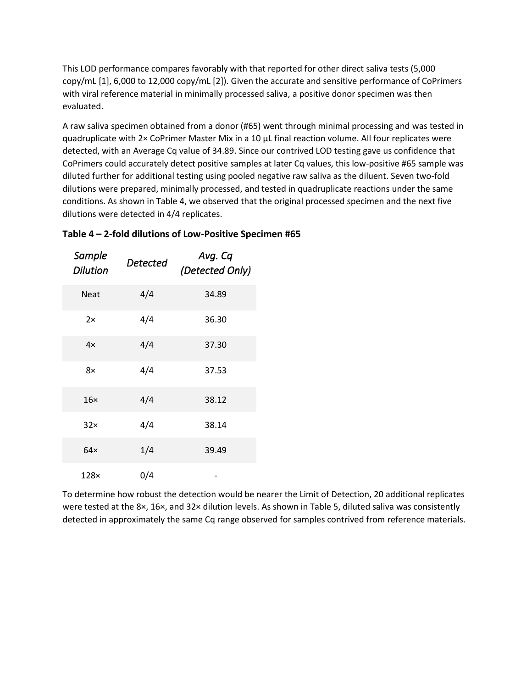This LOD performance compares favorably with that reported for other direct saliva tests (5,000 copy/mL [\[1\]](#page-4-0), 6,000 to 12,000 copy/mL [\[2\]](#page-4-1)). Given the accurate and sensitive performance of CoPrimers with viral reference material in minimally processed saliva, a positive donor specimen was then evaluated.

A raw saliva specimen obtained from a donor (#65) went through minimal processing and was tested in quadruplicate with 2× CoPrimer Master Mix in a 10 µL final reaction volume. All four replicates were detected, with an Average Cq value of 34.89. Since our contrived LOD testing gave us confidence that CoPrimers could accurately detect positive samples at later Cq values, this low-positive #65 sample was diluted further for additional testing using pooled negative raw saliva as the diluent. Seven two-fold dilutions were prepared, minimally processed, and tested in quadruplicate reactions under the same conditions. As shown in Table 4, we observed that the original processed specimen and the next five dilutions were detected in 4/4 replicates.

| Sample<br><b>Dilution</b> | Detected | Avg. Cq<br>(Detected Only) |
|---------------------------|----------|----------------------------|
| <b>Neat</b>               | 4/4      | 34.89                      |
| 2x                        | 4/4      | 36.30                      |
| $4\times$                 | 4/4      | 37.30                      |
| 8×                        | 4/4      | 37.53                      |
| 16 <sub>x</sub>           | 4/4      | 38.12                      |
| $32\times$                | 4/4      | 38.14                      |
| $64\times$                | 1/4      | 39.49                      |
| $128\times$               | 0/4      |                            |

# **Table 4 – 2-fold dilutions of Low-Positive Specimen #65**

To determine how robust the detection would be nearer the Limit of Detection, 20 additional replicates were tested at the 8×, 16×, and 32× dilution levels. As shown in Table 5, diluted saliva was consistently detected in approximately the same Cq range observed for samples contrived from reference materials.